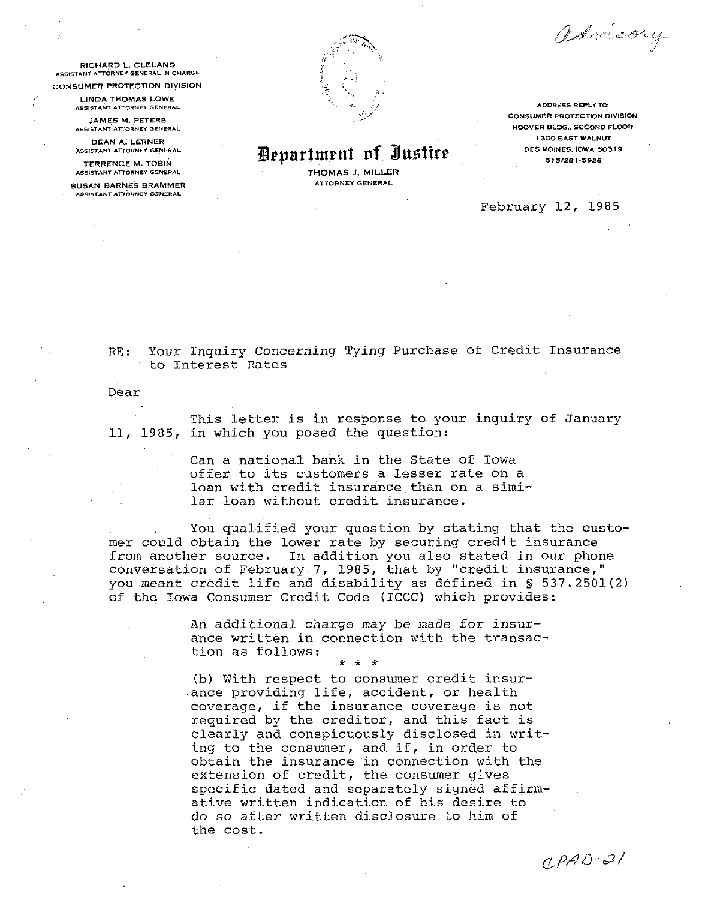advisory

**PICHARD L. CLELAND** ASSISTANT ATTORNEY GENERAL IN CHARGE

**CONSUMER PROTECTION DIVISION** 

LINDA THOMAS LOWE ASSISTANT ATTORNEY GENERAL

JAMES M. PETERS ASSISTANT ATTORNEY GENERAL

DEAN A. LERNER ASSISTANT ATTORNEY GENERAL

**TERRENCE M. TOBIN** ASSISTANT ATTORNEY GENERAL

SUSAN BARNES BRAMMER **AGGISTANT ATTORNEY GENERAL** 



Department of Justice

THOMAS J. MILLER **ATTORNEY GENERAL** 

ADDRESS REPLY TO: **CONSUMER PROTECTION DIVISION** HOOVER BLDG., SECOND FLOOR **1300 EAST WALNUT** DES MOINES, IOWA 50319 515/281-5926

February 12, 1985

## Your Inquiry Concerning Tying Purchase of Credit Insurance  $RF:$ to Interest Rates

Dear

This letter is in response to your inquiry of January 11, 1985, in which you posed the question:

> Can a national bank in the State of Iowa offer to its customers a lesser rate on a loan with credit insurance than on a similar loan without credit insurance.

You qualified your question by stating that the customer could obtain the lower rate by securing credit insurance from another source. In addition you also stated in our phone conversation of February 7, 1985, that by "credit insurance," you meant credit life and disability as defined in § 537.2501(2) of the Iowa Consumer Credit Code (ICCC) which provides:

> An additional charge may be made for insurance written in connection with the transaction as follows:

> > $\Delta \phi = - \Delta \phi$

(b) With respect to consumer credit insurance providing life, accident, or health coverage, if the insurance coverage is not required by the creditor, and this fact is clearly and conspicuously disclosed in writing to the consumer, and if, in order to obtain the insurance in connection with the extension of credit, the consumer gives specific dated and separately signed affirmative written indication of his desire to do so after written disclosure to him of the cost.